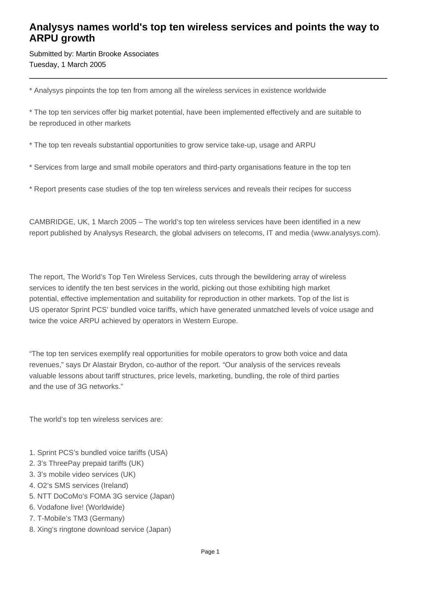## **Analysys names world's top ten wireless services and points the way to ARPU growth**

Submitted by: Martin Brooke Associates Tuesday, 1 March 2005

\* Analysys pinpoints the top ten from among all the wireless services in existence worldwide

\* The top ten services offer big market potential, have been implemented effectively and are suitable to be reproduced in other markets

\* The top ten reveals substantial opportunities to grow service take-up, usage and ARPU

\* Services from large and small mobile operators and third-party organisations feature in the top ten

\* Report presents case studies of the top ten wireless services and reveals their recipes for success

CAMBRIDGE, UK, 1 March 2005 – The world's top ten wireless services have been identified in a new report published by Analysys Research, the global advisers on telecoms, IT and media (www.analysys.com).

The report, The World's Top Ten Wireless Services, cuts through the bewildering array of wireless services to identify the ten best services in the world, picking out those exhibiting high market potential, effective implementation and suitability for reproduction in other markets. Top of the list is US operator Sprint PCS' bundled voice tariffs, which have generated unmatched levels of voice usage and twice the voice ARPU achieved by operators in Western Europe.

"The top ten services exemplify real opportunities for mobile operators to grow both voice and data revenues," says Dr Alastair Brydon, co-author of the report. "Our analysis of the services reveals valuable lessons about tariff structures, price levels, marketing, bundling, the role of third parties and the use of 3G networks."

The world's top ten wireless services are:

- 1. Sprint PCS's bundled voice tariffs (USA)
- 2. 3's ThreePay prepaid tariffs (UK)
- 3. 3's mobile video services (UK)
- 4. O2's SMS services (Ireland)
- 5. NTT DoCoMo's FOMA 3G service (Japan)
- 6. Vodafone live! (Worldwide)
- 7. T-Mobile's TM3 (Germany)
- 8. Xing's ringtone download service (Japan)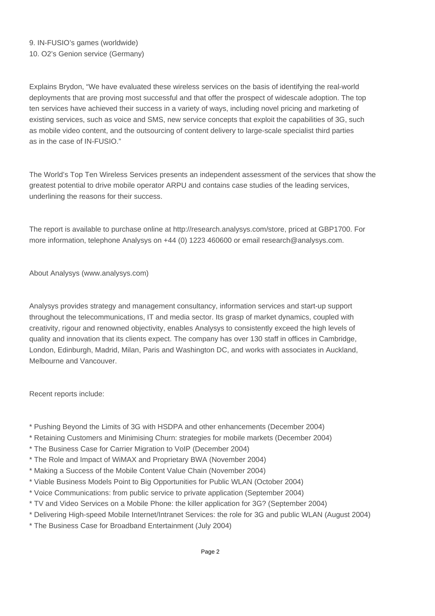Explains Brydon, "We have evaluated these wireless services on the basis of identifying the real-world deployments that are proving most successful and that offer the prospect of widescale adoption. The top ten services have achieved their success in a variety of ways, including novel pricing and marketing of existing services, such as voice and SMS, new service concepts that exploit the capabilities of 3G, such as mobile video content, and the outsourcing of content delivery to large-scale specialist third parties as in the case of IN-FUSIO."

The World's Top Ten Wireless Services presents an independent assessment of the services that show the greatest potential to drive mobile operator ARPU and contains case studies of the leading services, underlining the reasons for their success.

The report is available to purchase online at http://research.analysys.com/store, priced at GBP1700. For more information, telephone Analysys on +44 (0) 1223 460600 or email research@analysys.com.

About Analysys (www.analysys.com)

Analysys provides strategy and management consultancy, information services and start-up support throughout the telecommunications, IT and media sector. Its grasp of market dynamics, coupled with creativity, rigour and renowned objectivity, enables Analysys to consistently exceed the high levels of quality and innovation that its clients expect. The company has over 130 staff in offices in Cambridge, London, Edinburgh, Madrid, Milan, Paris and Washington DC, and works with associates in Auckland, Melbourne and Vancouver.

Recent reports include:

- \* Pushing Beyond the Limits of 3G with HSDPA and other enhancements (December 2004)
- \* Retaining Customers and Minimising Churn: strategies for mobile markets (December 2004)
- \* The Business Case for Carrier Migration to VoIP (December 2004)
- \* The Role and Impact of WiMAX and Proprietary BWA (November 2004)
- \* Making a Success of the Mobile Content Value Chain (November 2004)
- \* Viable Business Models Point to Big Opportunities for Public WLAN (October 2004)
- \* Voice Communications: from public service to private application (September 2004)
- \* TV and Video Services on a Mobile Phone: the killer application for 3G? (September 2004)
- \* Delivering High-speed Mobile Internet/Intranet Services: the role for 3G and public WLAN (August 2004)
- \* The Business Case for Broadband Entertainment (July 2004)